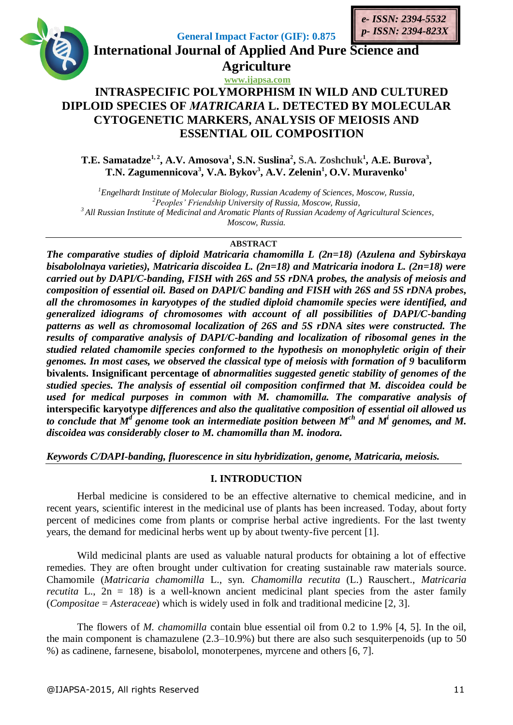

**T.E. Samatadze1, 2 , A.V. Amosova<sup>1</sup> , S.N. Suslina<sup>2</sup> , S.A. Zoshchuk<sup>1</sup> , A.E. Burova<sup>3</sup> , T.N. Zagumennicova<sup>3</sup> , V.A. Bykov<sup>3</sup> , A.V. Zelenin<sup>1</sup> , O.V. Muravenko<sup>1</sup>**

*Engelhardt Institute of Molecular Biology, Russian Academy of Sciences, Moscow, Russia, Peoples' Friendship University of Russia, Moscow, Russia, All Russian Institute of Medicinal and Aromatic Plants of Russian Academy of Agricultural Sciences, Moscow, Russia.*

### **ABSTRACT**

*The comparative studies of diploid Matricaria chamomilla L (2n=18) (Azulena and Sybirskaya bisabololnaya varieties), Matricaria discoidea L. (2n=18) and Matricaria inodora L. (2n=18) were carried out by DAPI/C-banding, FISH with 26S and 5S rDNA probes, the analysis of meiosis and composition of essential oil. Based on DAPI/C banding and FISH with 26S and 5S rDNA probes, all the chromosomes in karyotypes of the studied diploid chamomile species were identified, and generalized idiograms of chromosomes with account of all possibilities of DAPI/C-banding patterns as well as chromosomal localization of 26S and 5S rDNA sites were constructed. The results of comparative analysis of DAPI/C-banding and localization of ribosomal genes in the studied related chamomile species conformed to the hypothesis on monophyletic origin of their genomes. In most cases, we observed the classical type of meiosis with formation of 9* **baculiform bivalents. Insignificant percentage of** *abnormalities suggested genetic stability of genomes of the studied species. The analysis of essential oil composition confirmed that M. discoidea could be used for medical purposes in common with M. chamomillа. The comparative analysis of*  **interspecific karyotype** *differences and also the qualitative composition of essential oil allowed us*  to conclude that M<sup>d</sup> genome took an intermediate position between M<sup>ch</sup> and M<sup>i</sup> genomes, and M. *discoidea was considerably closer to M. chamomillа than M. inodora.*

*Keywords C/DAPI-banding, fluorescence in situ hybridization, genome, Matricaria, meiosis.* 

### **I. INTRODUCTION**

Herbal medicine is considered to be an effective alternative to chemical medicine, and in recent years, scientific interest in the medicinal use of plants has been increased. Today, about forty percent of medicines come from plants or comprise herbal active ingredients. For the last twenty years, the demand for medicinal herbs went up by about twenty-five percent [1].

Wild medicinal plants are used as valuable natural products for obtaining a lot of effective remedies. They are often brought under cultivation for creating sustainable raw materials source. Chamomile (*Matricaria chamomilla* L., syn. *Chamomilla recutita* (L.) Rauschert., *Matricaria recutita* L.,  $2n = 18$  is a well-known ancient medicinal plant species from the aster family (*Compositae* = *Asteraceae*) which is widely used in folk and traditional medicine [2, 3].

The flowers of *M. chamomilla* contain blue essential oil from 0.2 to 1.9% [4, 5]. In the oil, the main component is chamazulene (2.3–10.9%) but there are also such sesquiterpenoids (up to 50 %) as cadinene, farnesene, bisabolol, monoterpenes, myrcene and others [6, 7].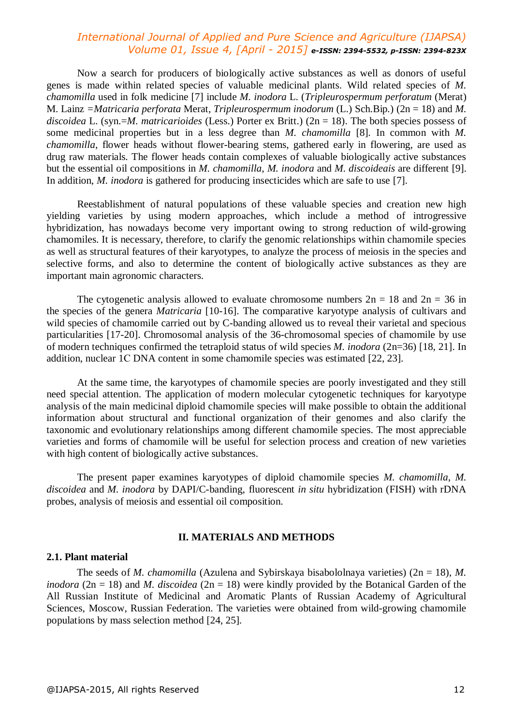Now a search for producers of biologically active substances as well as donors of useful genes is made within related species of valuable medicinal plants. Wild related species of *M. chamomilla* used in folk medicine [7] include *M. inodora* L. (*Tripleurospermum perforatum* (Merat) M. Lainz *=Matricaria perforata* Merat*, Tripleurospermum inodorum* (L.) Sch.Bip*.*) (2n = 18) and *M. discoidea* L. (syn.=*M. matricarioides* (Less.) Porter ex Britt.) (2n = 18). The both species possess of some medicinal properties but in a less degree than *M. chamomilla* [8]. In common with *M. chamomilla*, flower heads without flower-bearing stems, gathered early in flowering, are used as drug raw materials. The flower heads contain complexes of valuable biologically active substances but the essential oil compositions in *M. chamomilla, M. inodora* and *M. discoideais* are different [9]. In addition, *M. inodora* is gathered for producing insecticides which are safe to use [7].

Reestablishment of natural populations of these valuable species and creation new high yielding varieties by using modern approaches, which include a method of introgressive hybridization, has nowadays become very important owing to strong reduction of wild-growing chamomiles. It is necessary, therefore, to clarify the genomic relationships within chamomile species as well as structural features of their karyotypes, to analyze the process of meiosis in the species and selective forms, and also to determine the content of biologically active substances as they are important main agronomic characters.

The cytogenetic analysis allowed to evaluate chromosome numbers  $2n = 18$  and  $2n = 36$  in the species of the genera *Matricaria* [10-16]. The comparative karyotype analysis of cultivars and wild species of chamomile carried out by C-banding allowed us to reveal their varietal and specious particularities [17-20]. Chromosomal analysis of the 36-chromosomal species of chamomile by use of modern techniques confirmed the tetraploid status of wild species *M. inodora* (2n=36) [18, 21]. In addition, nuclear 1С DNA content in some chamomile species was estimated [22, 23].

At the same time, the karyotypes of chamomile species are poorly investigated and they still need special attention. The application of modern molecular cytogenetic techniques for karyotype analysis of the main medicinal diploid chamomile species will make possible to obtain the additional information about structural and functional organization of their genomes and also clarify the taxonomic and evolutionary relationships among different chamomile species. The most appreciable varieties and forms of chamomile will be useful for selection process and creation of new varieties with high content of biologically active substances.

The present paper examines karyotypes of diploid chamomile species *M. chamomilla*, *M. discoidea* and *M. inodora* by DAPI/C-banding, fluorescent *in situ* hybridization (FISH) with rDNA probes, analysis of meiosis and essential oil composition.

#### **II. MATERIALS AND METHODS**

#### **2.1. Plant material**

The seeds of *M. chamomilla* (Azulena and Sybirskaya bisabololnaya varieties) (2n = 18), *M. inodora* (2n = 18) and *M. discoidea* (2n = 18) were kindly provided by the Botanical Garden of the All Russian Institute of Medicinal and Aromatic Plants of Russian Academy of Agricultural Sciences, Moscow, Russian Federation. The varieties were obtained from wild-growing chamomile populations by mass selection method [24, 25].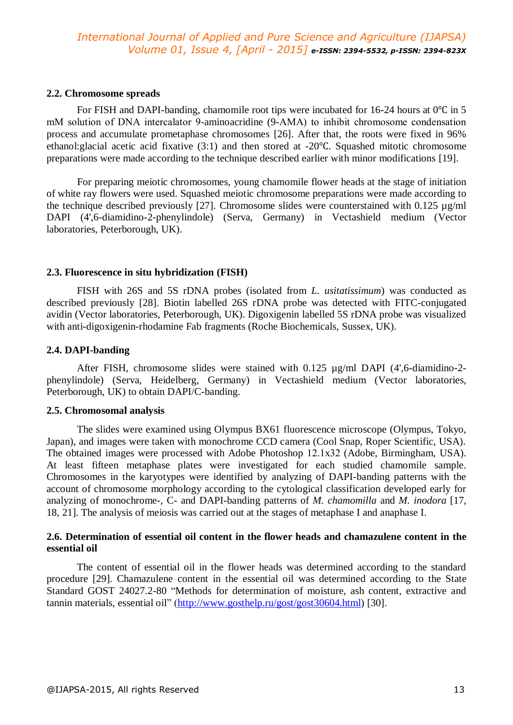### **2.2. Chromosome spreads**

For FISH and DAPI-banding, chamomile root tips were incubated for 16-24 hours at 0℃ in 5 mМ solution of DNA intercalator 9-aminoacridine (9-АМА) to inhibit chromosome condensation process and accumulate prometaphase chromosomes [26]. After that, the roots were fixed in 96% ethanol:glacial acetic acid fixative (3:1) and then stored at -20℃. Squashed mitotic chromosome preparations were made according to the technique described earlier with minor modifications [19].

For preparing meiotic chromosomes, young chamomile flower heads at the stage of initiation of white ray flowers were used. Squashed meiotic chromosome preparations were made according to the technique described previously [27]. Chromosome slides were counterstained with 0.125 µg/ml DAPI (4',6-diamidino-2-phenylindole) (Serva, Germany) in Vectashield medium (Vector laboratories, Peterborough, UK).

### **2.3. Fluorescence in situ hybridization (FISH)**

FISH with 26S and 5S rDNA probes (isolated from *L. usitatissimum*) was conducted as described previously [28]. Biotin labelled 26S rDNA probe was detected with FITC-conjugated avidin (Vector laboratories, Peterborough, UK). Digoxigenin labelled 5S rDNA probe was visualized with anti-digoxigenin-rhodamine Fab fragments (Roche Biochemicals, Sussex, UK).

### **2.4. DAPI-banding**

After FISH, chromosome slides were stained with 0.125 µg/ml DAPI (4',6-diamidino-2 phenylindole) (Serva, Heidelberg, Germany) in Vectashield medium (Vector laboratories, Peterborough, UK) to obtain DAPI/C-banding.

### **2.5. Chromosomal analysis**

The slides were examined using Olympus BX61 fluorescence microscope (Olympus, Tokyo, Japan), and images were taken with monochrome CCD camera (Cool Snap, Roper Scientific, USA). The obtained images were processed with Adobe Photoshop 12.1x32 (Adobe, Birmingham, USA). At least fifteen metaphase plates were investigated for each studied chamomile sample. Chromosomes in the karyotypes were identified by analyzing of DAPI-banding patterns with the account of chromosome morphology according to the cytological classification developed early for analyzing of monochrome-, C- and DAPI-banding patterns of *M. chamomilla* and *M. inodora* [17, 18, 21]. The analysis of meiosis was carried out at the stages of metaphase I and anaphase I.

### **2.6. Determination of essential oil content in the flower heads and chamazulene content in the essential oil**

The content of essential oil in the flower heads was determined according to the standard procedure [29]. Chamazulene content in the essential oil was determined according to the State Standard GOST 24027.2-80 "Methods for determination of moisture, ash content, extractive and tannin materials, essential oil" (http://www.gosthelp.ru/gost/gost30604.html) [30].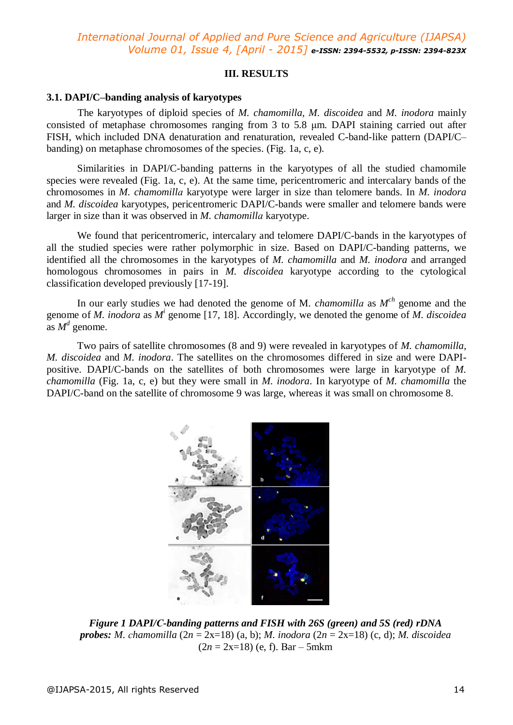### **III. RESULTS**

### **3.1. DAPI/C–banding analysis of karyotypes**

The karyotypes of diploid species of *M. chamomilla, M. discoidea* and *M. inodora* mainly consisted of metaphase chromosomes ranging from 3 to 5.8 μm. DAPI staining carried out after FISH, which included DNA denaturation and renaturation, revealed C-band-like pattern (DAPI/C– banding) on metaphase chromosomes of the species. (Fig. 1a, c, e).

Similarities in DAPI/C-banding patterns in the karyotypes of all the studied chamomile species were revealed (Fig. 1a, c, e). At the same time, pericentromeric and intercalary bands of the chromosomes in *M. chamomillа* karyotype were larger in size than telomere bands. In *M. inodora* and *M. discoidea* karyotypes, pericentromeric DAPI/C-bands were smaller and telomere bands were larger in size than it was observed in *M. chamomillа* karyotype.

We found that pericentromeric, intercalary and telomere DAPI/C-bands in the karyotypes of all the studied species were rather polymorphic in size. Based on DAPI/C-banding patterns, we identified all the chromosomes in the karyotypes of *M. chamomilla* and *M. inodora* and arranged homologous chromosomes in pairs in *M. discoidea* karyotype according to the cytological classification developed previously [17-19].

In our early studies we had denoted the genome of M*. chamomillа* as *M ch* genome and the genome of *M. inodora* as *M<sup>i</sup>* genome [17, 18]. Accordingly, we denoted the genome of *M. discoidea* as  $M^d$  genome.

Two pairs of satellite chromosomes (8 and 9) were revealed in karyotypes of *M. chamomilla, M. discoidea* and *M. inodora*. The satellites on the chromosomes differed in size and were DAPIpositive. DAPI/C-bands on the satellites of both chromosomes were large in karyotype of *M. chamomilla* (Fig. 1a, c, e) but they were small in *M. inodora*. In karyotype of *M. chamomilla* the DAPI/C-band on the satellite of chromosome 9 was large, whereas it was small on chromosome 8.



*Figure 1 DAPI/С-banding patterns and FISH with 26S (green) and 5S (red) rDNA probes: M. сhamomilla* (2*n* = 2х=18) (a, b); *M. inodora* (2*n* = 2х=18) (c, d); *M. discoidea*   $(2n = 2x=18)$  (e, f). Bar – 5mkm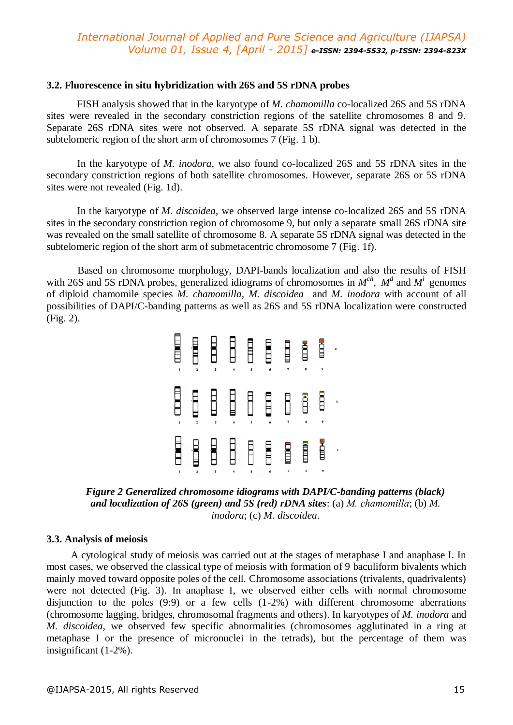#### **3.2. Fluorescence in situ hybridization with 26S and 5S rDNA probes**

FISH analysis showed that in the karyotype of *M. chamomilla* co-localized 26S and 5S rDNA sites were revealed in the secondary constriction regions of the satellite chromosomes 8 and 9. Separate 26S rDNA sites were not observed. A separate 5S rDNA signal was detected in the subtelomeric region of the short arm of chromosomes 7 (Fig. 1 b).

In the karyotype of *M. inodora*, we also found co-localized 26S and 5S rDNA sites in the secondary constriction regions of both satellite chromosomes. However, separate 26S or 5S rDNA sites were not revealed (Fig. 1d).

In the karyotype of *M. discoidea*, we observed large intense co-localized 26S and 5S rDNA sites in the secondary constriction region of chromosome 9, but only a separate small 26S rDNA site was revealed on the small satellite of chromosome 8. A separate 5S rDNA signal was detected in the subtelomeric region of the short arm of submetacentric chromosome 7 (Fig. 1f).

Based on chromosome morphology, DAPI-bands localization and also the results of FISH with 26S and 5S rDNA probes, generalized idiograms of chromosomes in  $M^{ch}$ ,  $M^d$  and  $M^i$  genomes of diploid chamomile species *M. chamomilla, M. discoidea* and *M. inodora* with account of all possibilities of DAPI/C-banding patterns as well as 26S and 5S rDNA localization were constructed (Fig. 2).

*Figure 2 Generalized chromosome idiograms with DAPI/C-banding patterns (black) and localization of 26S (green) and 5S (red) rDNA sites*: (a) *M. сhamomilla*; (b) *M. inodora*; (c) *M. discoidea*.

#### **3.3. Analysis of meiosis**

A cytological study of meiosis was carried out at the stages of metaphase I and anaphase I. In most cases, we observed the classical type of meiosis with formation of 9 baculiform bivalents which mainly moved toward opposite poles of the cell. Chromosome associations (trivalents, quadrivalents) were not detected (Fig. 3). In anaphase I, we observed either cells with normal chromosome disjunction to the poles (9:9) or a few cells (1-2%) with different chromosome aberrations (chromosome lagging, bridges, chromosomal fragments and others). In karyotypes of *M. inodora* and *M. discoidea*, we observed few specific abnormalities (chromosomes agglutinated in a ring at metaphase I or the presence of micronuclei in the tetrads), but the percentage of them was insignificant (1-2%).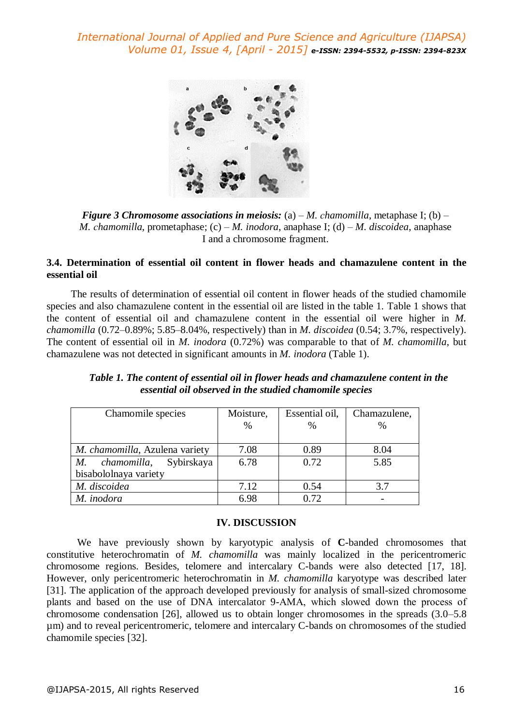

*Figure 3 Chromosome associations in meiosis:* (a) – *M. chamomilla, metaphase I; (b)* – *M. сhamomilla*, prometaphase; (c) – *M. inodora*, anaphase I; (d) – *M. discoidea*, anaphase I and a chromosome fragment.

## **3.4. Determination of essential oil content in flower heads and chamazulene content in the essential oil**

The results of determination of essential oil content in flower heads of the studied chamomile species and also chamazulene content in the essential oil are listed in the table 1. Table 1 shows that the content of essential oil and chamazulene content in the essential oil were higher in *M. chamomilla* (0.72–0.89%; 5.85–8.04%, respectively) than in *M. discoidea* (0.54; 3.7%, respectively). The content of essential oil in *M. inodora* (0.72%) was comparable to that of *M. chamomilla*, but chamazulene was not detected in significant amounts in *M. inodora* (Table 1).

| Chamomile species               | Moisture, | Essential oil, | Chamazulene, |  |
|---------------------------------|-----------|----------------|--------------|--|
|                                 | $\%$      | %              | $\%$         |  |
|                                 |           |                |              |  |
| M. chamomilla, Azulena variety  | 7.08      | 0.89           | 8.04         |  |
| Sybirskaya<br>chamomilla,<br>М. | 6.78      | 0.72           | 5.85         |  |
| bisabololnaya variety           |           |                |              |  |
| M. discoidea                    | 7.12      | 0.54           | 3.7          |  |
| M. inodora                      | 6.98      | 0.72           |              |  |

*Table 1. The content of essential oil in flower heads and chamazulene content in the essential oil observed in the studied chamomile species*

#### **IV. DISCUSSION**

We have previously shown by karyotypic analysis of **C**-banded chromosomes that constitutive heterochromatin of *M. chamomilla* was mainly localized in the pericentromeric chromosome regions. Besides, telomere and intercalary C-bands were also detected [17, 18]. However, only pericentromeric heterochromatin in *M. chamomilla* karyotype was described later [31]. The application of the approach developed previously for analysis of small-sized chromosome plants and based on the use of DNA intercalator 9-АМА, which slowed down the process of chromosome condensation [26], allowed us to obtain longer chromosomes in the spreads (3.0–5.8 µm) and to reveal pericentromeric, telomere and intercalary C-bands on chromosomes of the studied chamomile species [32].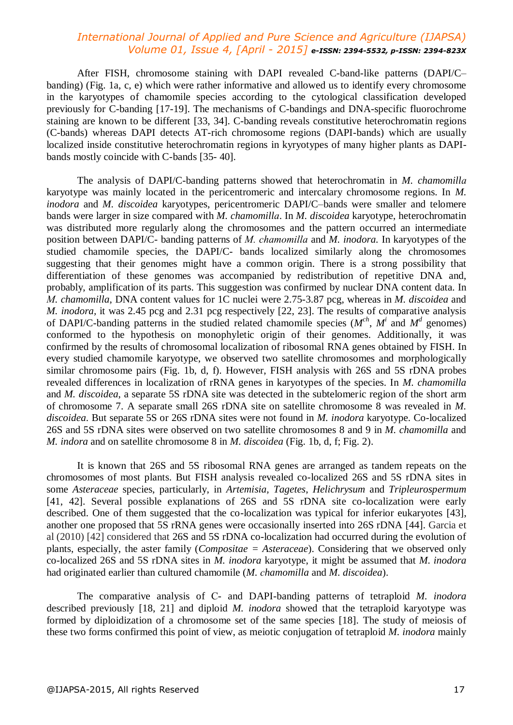After FISH, chromosome staining with DAPI revealed C-band-like patterns (DAPI/C– banding) (Fig. 1a, c, e) which were rather informative and allowed us to identify every chromosome in the karyotypes of chamomile species according to the cytological classification developed previously for C-banding [17-19]. The mechanisms of C-bandings and DNA-specific fluorochrome staining are known to be different [33, 34]. C-banding reveals constitutive heterochromatin regions (C-bands) whereas DAPI detects AT-rich chromosome regions (DAPI-bands) which are usually localized inside constitutive heterochromatin regions in kyryotypes of many higher plants as DAPIbands mostly coincide with C-bands [35- 40].

The analysis of DAPI/C-banding patterns showed that heterochromatin in *M. chamomillа* karyotype was mainly located in the pericentromeric and intercalary chromosome regions. In *M. inodora* and *M. discoidea* karyotypes, pericentromeric DAPI/C–bands were smaller and telomere bands were larger in size compared with *M. chamomillа*. In *M. discoidea* karyotype, heterochromatin was distributed more regularly along the chromosomes and the pattern occurred an intermediate position between DAPI/C- banding patterns of *M. chamomillа* and *M. inodora.* In karyotypes of the studied chamomile species, the DAPI/C- bands localized similarly along the chromosomes suggesting that their genomes might have a common origin. There is a strong possibility that differentiation of these genomes was accompanied by redistribution of repetitive DNA and, probably, amplification of its parts. This suggestion was confirmed by nuclear DNA content data. In *М. chamomilla*, DNA content values for 1C nuclei were 2.75-3.87 pcg, whereas in *M. discoidea* and *M. inodora,* it was 2.45 pcg and 2.31 pcg respectively [22, 23]. The results of comparative analysis of DAPI/C-banding patterns in the studied related chamomile species  $(M^{ch}, M^i$  and  $M^d$  genomes) conformed to the hypothesis on monophyletic origin of their genomes. Additionally, it was confirmed by the results of chromosomal localization of ribosomal RNA genes obtained by FISH. In every studied chamomile karyotype, we observed two satellite chromosomes and morphologically similar chromosome pairs (Fig. 1b, d, f). However, FISH analysis with 26S and 5S rDNA probes revealed differences in localization of rRNA genes in karyotypes of the species. In *M. chamomilla*  and *M. discoidea*, a separate 5S rDNA site was detected in the subtelomeric region of the short arm of chromosome 7. A separate small 26S rDNA site on satellite chromosome 8 was revealed in *M. discoidea*. But separate 5S or 26S rDNA sites were not found in *M. inodora* karyotype. Co-localized 26S and 5S rDNA sites were observed on two satellite chromosomes 8 and 9 in *M. chamomilla* and *M. indora* and on satellite chromosome 8 in *M. discoidea* (Fig. 1b, d, f; Fig. 2).

It is known that 26S and 5S ribosomal RNA genes are arranged as tandem repeats on the chromosomes of most plants. But FISH analysis revealed co-localized 26S and 5S rDNA sites in some *Asteraceae* species, particularly, in *Artemisia, Tagetes*, *Helichrysum* and *Tripleurospermum* [41, 42]. Several possible explanations of 26S and 5S rDNA site co-localization were early described. One of them suggested that the co-localization was typical for inferior eukaryotes [43], another one proposed that 5S rRNA genes were occasionally inserted into 26S rDNA [44]. Garcia et al (2010) [42] considered that 26S and 5S rDNA co-localization had occurred during the evolution of plants, especially, the aster family (*Compositae = Asteraceae*). Considering that we observed only co-localized 26S and 5S rDNA sites in *M. inodora* karyotype, it might be assumed that *M. inodora* had originated earlier than cultured chamomile (*M. сhamomilla* and *M. discoidea*).

The comparative analysis of С- and DAPI-banding patterns of tetraploid *M. inodora* described previously [18, 21] and diploid *M. inodora* showed that the tetraploid karyotype was formed by diploidization of a chromosome set of the same species [18]. The study of meiosis of these two forms confirmed this point of view, as meiotic conjugation of tetraploid *M. inodora* mainly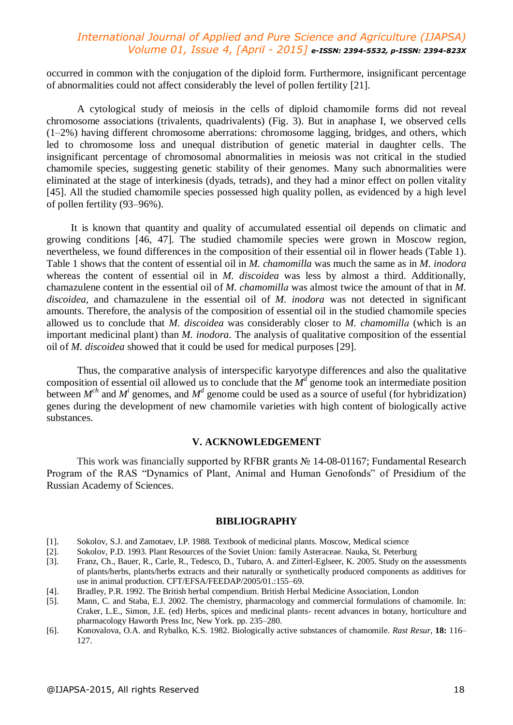occurred in common with the conjugation of the diploid form. Furthermore, insignificant percentage of abnormalities could not affect considerably the level of pollen fertility [21].

A cytological study of meiosis in the cells of diploid chamomile forms did not reveal chromosome associations (trivalents, quadrivalents) (Fig. 3). But in anaphase I, we observed cells (1–2%) having different chromosome aberrations: chromosome lagging, bridges, and others, which led to chromosome loss and unequal distribution of genetic material in daughter cells. The insignificant percentage of chromosomal abnormalities in meiosis was not critical in the studied chamomile species, suggesting genetic stability of their genomes. Many such abnormalities were eliminated at the stage of interkinesis (dyads, tetrads), and they had a minor effect on pollen vitality [45]. All the studied chamomile species possessed high quality pollen, as evidenced by a high level of pollen fertility (93–96%).

It is known that quantity and quality of accumulated essential oil depends on climatic and growing conditions [46, 47]. The studied chamomile species were grown in Moscow region, nevertheless, we found differences in the composition of their essential oil in flower heads (Table 1). Table 1 shows that the content of essential oil in *M. chamomilla* was much the same as in *M. inodora* whereas the content of essential oil in *M. discoidea* was less by almost a third. Additionally, chamazulene content in the essential oil of *M. chamomillа* was almost twice the amount of that in *M. discoidea*, and chamazulene in the essential oil of *M. inodora* was not detected in significant amounts. Therefore, the analysis of the composition of essential oil in the studied chamomile species allowed us to conclude that *M. discoidea* was considerably closer to *M. chamomillа* (which is an important medicinal plant) than *M. inodora*. The analysis of qualitative composition of the essential oil of *M. discoidea* showed that it could be used for medical purposes [29].

Thus, the comparative analysis of interspecific karyotype differences and also the qualitative composition of essential oil allowed us to conclude that the  $M<sup>d</sup>$  genome took an intermediate position between  $M^{ch}$  and  $M^i$  genomes, and  $M^d$  genome could be used as a source of useful (for hybridization) genes during the development of new chamomile varieties with high content of biologically active substances.

#### **V. ACKNOWLEDGEMENT**

This work was financially supported by RFBR grants № 14-08-01167; Fundamental Research Program of the RAS "Dynamics of Plant, Animal and Human Genofonds" of Presidium of the Russian Academy of Sciences.

#### **BIBLIOGRAPHY**

- [1]. Sokolov, S.J. and Zamotaev, I.P. 1988. Textbook of medicinal plants. Moscow, Medical science
- [2]. Sokolov, P.D. 1993. Plant Resources of the Soviet Union: family Asteraceae. Nauka, St. Peterburg
- [3]. Franz, Ch., Bauer, R., Carle, R., Tedesco, D., Tubaro, A. and Zitterl-Eglseer, K. 2005. Study on the assessments of plants/herbs, plants/herbs extracts and their naturally or synthetically produced components as additives for use in animal production. CFT/EFSA/FEEDAP/2005/01.:155–69.
- [4]. Bradley, P.R. 1992. The British herbal compendium. British Herbal Medicine Association, London
- [5]. Mann, C. and Staba, E.J. 2002. The chemistry, pharmacology and commercial formulations of chamomile. In: Craker, L.E., Simon, J.E. (ed) Herbs, spices and medicinal plants- recent advances in botany, horticulture and pharmacology Haworth Press Inc, New York. pp. 235–280.
- [6]. Konovalova, O.A. and Rybalko, K.S. 1982. Biologically active substances of chamomile*. Rast Resur*, **18:** 116*–* 127.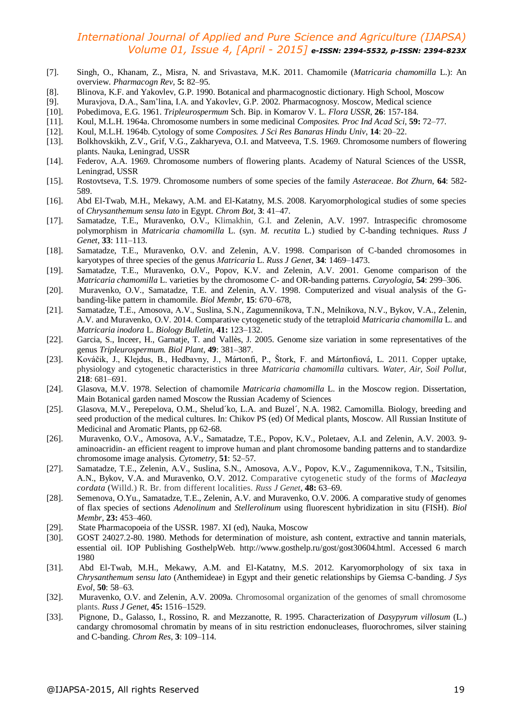- [7]. Singh, O., Khanam, Z., Misra, N. and Srivastava, M.K. 2011. Chamomile (*Matricaria chamomilla* L.): An overview. *Pharmacogn Rev*, **5:** 82–95.
- [8]. Blinova, K.F. and Yakovlev, G.P. 1990. Botanical and pharmacognostic dictionary. High School, Moscow
- [9]. Muravjova, D.A., Sam'lina, I.A. and Yakovlev, G.P. 2002. Pharmacognosy. Moscow, Medical science
- [10]. Pobedimova, E.G. 1961. *Tripleurospermum* Sch. Bip. in Komarov V. L. *Flora USSR*, **26**: 157-184.
- [11]. Koul, M.L.H. 1964a. Chromosome numbers in some medicinal *Composites. Proc Ind Acad Sci*, **59:** 72*–*77.
- [12]. Koul, M.L.H. 1964b. Cytology of some *Composites. J Sci Res Banaras Hindu Univ*, **14**: 20–22.
- [13]. Bolkhovskikh, Z.V., Grif, V.G., Zakharyeva, O.I. and Matveeva, T.S. 1969. Chromosome numbers of flowering plants. Nauka, Leningrad, USSR
- [14]. Federov, A.A. 1969. Chromosome numbers of flowering plants. Academy of Natural Sciences of the USSR, Leningrad, USSR
- [15]. Rostovtseva, T.S. 1979. Chromosome numbers of some species of the family *Asteraceae*. *Bot Zhurn*, **64**: 582- 589.
- [16]. Abd El-Twab, M.H., Mekawy, A.M. and El-Katatny, M.S. 2008. Karyomorphological studies of some species of *Chrysanthemum sensu lato* in Egypt. *Chrom Bot*, **3**: 41*–*47.
- [17]. Samatadze, Т.Е., Muravenko, O.V.*,* Klimakhin, G.I. and Zelenin, A.V. 1997. Intraspecific chromosome polymorphism in *Matricaria chamomilla* L. (syn. *M. recutita* L.) studied by C-banding techniques. *Russ J Genet*, **33**: 111*–*113.
- [18]. Samatadze, T.E., Muravenko, O.V. and Zelenin, A.V. 1998. Comparison of C-banded chromosomes in karyotypes of three species of the genus *Мatricaria* L. *Russ J Genet,* **34**: 1469*–*1473.
- [19]. Samatadze, T.E., Muravenko, O.V., Popov, K.V. and Zelenin, A.V. 2001. Genome comparison of the *Matricaria chamomilla* L. varieties by the chromosome C- and OR-banding patterns. *Caryologia*, **54**: 299*–*306.
- [20]. Muravenko, O.V., Samatadze, T.E. and Zelenin, A.V. 1998. Computerized and visual analysis of the Gbanding-like pattern in chamomile. *Biol Membr*, **15**: 670*–*678,
- [21]. Samatadze, Т.Е., Аmosova, А.V., Suslina, S.N., Zagumennikova, Т.N., Мelnikova, N.V., Bykov, V.A., Zelenin, A.V. and Muravenko, O.V. 2014. Comparative cytogenetic study of the tetraploid *Matricaria chamomilla* L. and *Matricaria inodora* L. *Biology Bulletin*, **41:** 123*–*132.
- [22]. Garcia, S., Inceer, H., Garnatje, T. and Vallès, J. 2005. Genome size variation in some representatives of the genus *Tripleurospermum. Biol Plant*, **49**: 381*–*387.
- [23]. Kováčik, J., Klejdus, B., Hedbavny, J., Mártonfi, P., Štork, F. and Mártonfiová, L. 2011. Copper uptake, physiology and cytogenetic characteristics in three *Matricaria chamomilla* cultivars. *Water, Air, Soil Pollut*, **218**: 681*–*691.
- [24]. Glasova, M.V. 1978. Selection of chamomile *Matricaria chamomilla* L. in the Moscow region. Dissertation, Main Botanical garden named Moscow the Russian Academy of Sciences
- [25]. Glasova, M.V., Perepelova, O.M., Shelud´ko, L.A. and Buzel´, N.A. 1982. Camomilla. Biology, breeding and seed production of the medical cultures. In: Chikov PS (ed) Of Medical plants, Moscow. All Russian Institute of Medicinal and Aromatic Plants, pp 62-68.
- [26]. Muravenko, O.V., Amosova, A.V., Samatadze, T.E., Popov, K.V., Poletaev, A.I. and Zelenin, A.V. 2003. 9 aminoacridin- an efficient reagent to improve human and plant chromosome banding patterns and to standardize chromosome image analysis. *Cytometry,* **51**: 52*–*57.
- [27]. Samatadze, Т.Е., Zelenin, A.V., Suslina, S.N., Аmosova, А.V., Popov, K.V., Zagumennikova, Т.N., Tsitsilin, A.N., Bykov, V.A. and Muravenko, O.V. 2012. Comparative cytogenetic study of the forms of *Macleaya cordata* (Willd.) R. Br. from different localities. *Russ J Genet*, **48:** 63*–*69.
- [28]. Semenova, O.Yu., Samatadze, T.E., Zelenin, A.V. and Muravenko, O.V. 2006. A comparative study of genomes of flax species of sections *Adenolinum* and *Stellerolinum* using fluorescent hybridization in situ (FISH). *Biol Membr,* **23:** 453*–*460.
- [29]. State Pharmacopoeia of the USSR. 1987. XI (ed), Nauka, Мoscow
- [30]. GOST 24027.2-80. 1980. Methods for determination of moisture, ash content, extractive and tannin materials, essential oil. IOP Publishing GosthelpWeb. http://www.gosthelp.ru/gost/gost30604.html. Accessed 6 march 1980
- [31]. Abd El-Twab, M.H., Mekawy, A.M. and El-Katatny, M.S. 2012. Karyomorphology of six taxa in *Chrysanthemum sensu lato* (Anthemideae) in Egypt and their genetic relationships by Giemsa C-banding. *J Sys Evol*, **50**: 58–63.
- [32]. Muravenko, O.V. and Zelenin, A.V. 2009a. Chromosomal organization of the genomes of small chromosome plants. *Russ J Genet*, **45:** 1516*–*1529.
- [33]. Pignone, D., Galasso, I., Rossino, R. and Mezzanotte, R. 1995. Characterization of *Dasypyrum villosum* (L.) candargy chromosomal chromatin by means of in situ restriction endonucleases, fluorochromes, silver staining and C-banding. *Chrom Res*, **3**: 109*–*114.